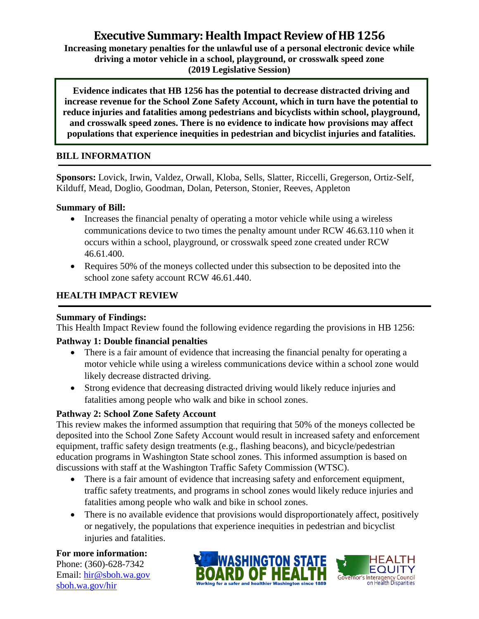# **Executive Summary: Health Impact Review of HB 1256**

**Increasing monetary penalties for the unlawful use of a personal electronic device while driving a motor vehicle in a school, playground, or crosswalk speed zone (2019 Legislative Session)**

**Evidence indicates that HB 1256 has the potential to decrease distracted driving and increase revenue for the School Zone Safety Account, which in turn have the potential to reduce injuries and fatalities among pedestrians and bicyclists within school, playground, and crosswalk speed zones. There is no evidence to indicate how provisions may affect populations that experience inequities in pedestrian and bicyclist injuries and fatalities.**

# **BILL INFORMATION**

**Sponsors:** Lovick, Irwin, Valdez, Orwall, Kloba, Sells, Slatter, Riccelli, Gregerson, Ortiz-Self, Kilduff, Mead, Doglio, Goodman, Dolan, Peterson, Stonier, Reeves, Appleton

## **Summary of Bill:**

- Increases the financial penalty of operating a motor vehicle while using a wireless communications device to two times the penalty amount under RCW 46.63.110 when it occurs within a school, playground, or crosswalk speed zone created under RCW 46.61.400.
- Requires 50% of the moneys collected under this subsection to be deposited into the school zone safety account RCW 46.61.440.

# **HEALTH IMPACT REVIEW**

#### **Summary of Findings:**

This Health Impact Review found the following evidence regarding the provisions in HB 1256:

## **Pathway 1: Double financial penalties**

- There is a fair amount of evidence that increasing the financial penalty for operating a motor vehicle while using a wireless communications device within a school zone would likely decrease distracted driving.
- Strong evidence that decreasing distracted driving would likely reduce injuries and fatalities among people who walk and bike in school zones.

## **Pathway 2: School Zone Safety Account**

This review makes the informed assumption that requiring that 50% of the moneys collected be deposited into the School Zone Safety Account would result in increased safety and enforcement equipment, traffic safety design treatments (e.g., flashing beacons), and bicycle/pedestrian education programs in Washington State school zones. This informed assumption is based on discussions with staff at the Washington Traffic Safety Commission (WTSC).

- There is a fair amount of evidence that increasing safety and enforcement equipment, traffic safety treatments, and programs in school zones would likely reduce injuries and fatalities among people who walk and bike in school zones.
- There is no available evidence that provisions would disproportionately affect, positively or negatively, the populations that experience inequities in pedestrian and bicyclist injuries and fatalities.

**For more information:** Phone: (360)-628-7342

Email: [hir@sboh.wa.gov](mailto:hir@sboh.wa.gov) [sboh.wa.gov/](http://sboh.wa.gov/)hir



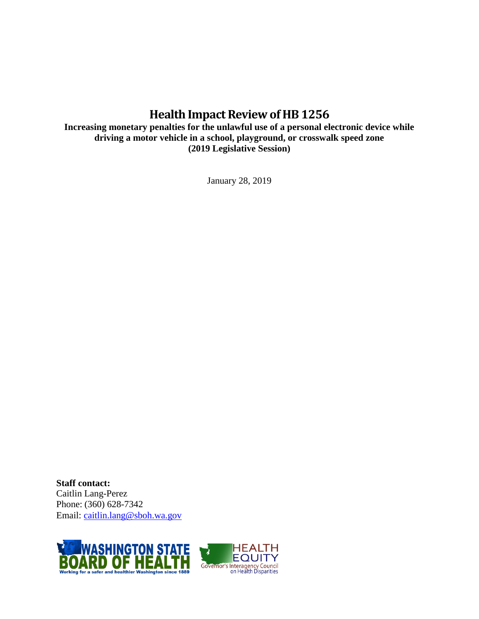# **Health Impact Review of HB1256**

**Increasing monetary penalties for the unlawful use of a personal electronic device while driving a motor vehicle in a school, playground, or crosswalk speed zone (2019 Legislative Session)**

January 28, 2019

**Staff contact:** Caitlin Lang-Perez Phone: (360) 628-7342 Email: [caitlin.lang@sboh.wa.gov](mailto:caitlin.lang@sboh.wa.gov)



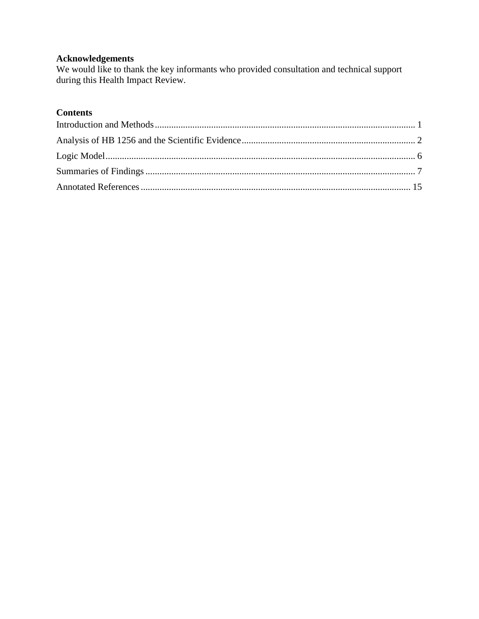# **Acknowledgements**

We would like to thank the key informants who provided consultation and technical support during this Health Impact Review.

# **Contents**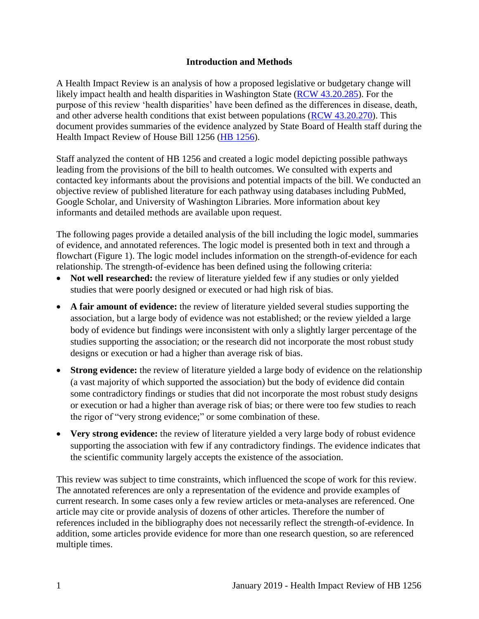## **Introduction and Methods**

<span id="page-3-0"></span>A Health Impact Review is an analysis of how a proposed legislative or budgetary change will likely impact health and health disparities in Washington State [\(RCW 43.20.285\)](http://apps.leg.wa.gov/rcw/default.aspx?cite=43.20.285). For the purpose of this review 'health disparities' have been defined as the differences in disease, death, and other adverse health conditions that exist between populations [\(RCW 43.20.270\)](http://apps.leg.wa.gov/rcw/default.aspx?cite=43.20.270). This document provides summaries of the evidence analyzed by State Board of Health staff during the Health Impact Review of House Bill 1256 [\(HB 1256\)](https://app.leg.wa.gov/billsummary?BillNumber=1256&Year=2019).

Staff analyzed the content of HB 1256 and created a logic model depicting possible pathways leading from the provisions of the bill to health outcomes. We consulted with experts and contacted key informants about the provisions and potential impacts of the bill. We conducted an objective review of published literature for each pathway using databases including PubMed, Google Scholar, and University of Washington Libraries. More information about key informants and detailed methods are available upon request.

The following pages provide a detailed analysis of the bill including the logic model, summaries of evidence, and annotated references. The logic model is presented both in text and through a flowchart (Figure 1). The logic model includes information on the strength-of-evidence for each relationship. The strength-of-evidence has been defined using the following criteria:

- Not well researched: the review of literature yielded few if any studies or only yielded studies that were poorly designed or executed or had high risk of bias.
- **A fair amount of evidence:** the review of literature yielded several studies supporting the association, but a large body of evidence was not established; or the review yielded a large body of evidence but findings were inconsistent with only a slightly larger percentage of the studies supporting the association; or the research did not incorporate the most robust study designs or execution or had a higher than average risk of bias.
- **Strong evidence:** the review of literature yielded a large body of evidence on the relationship (a vast majority of which supported the association) but the body of evidence did contain some contradictory findings or studies that did not incorporate the most robust study designs or execution or had a higher than average risk of bias; or there were too few studies to reach the rigor of "very strong evidence;" or some combination of these.
- Very strong evidence: the review of literature yielded a very large body of robust evidence supporting the association with few if any contradictory findings. The evidence indicates that the scientific community largely accepts the existence of the association.

This review was subject to time constraints, which influenced the scope of work for this review. The annotated references are only a representation of the evidence and provide examples of current research. In some cases only a few review articles or meta-analyses are referenced. One article may cite or provide analysis of dozens of other articles. Therefore the number of references included in the bibliography does not necessarily reflect the strength-of-evidence. In addition, some articles provide evidence for more than one research question, so are referenced multiple times.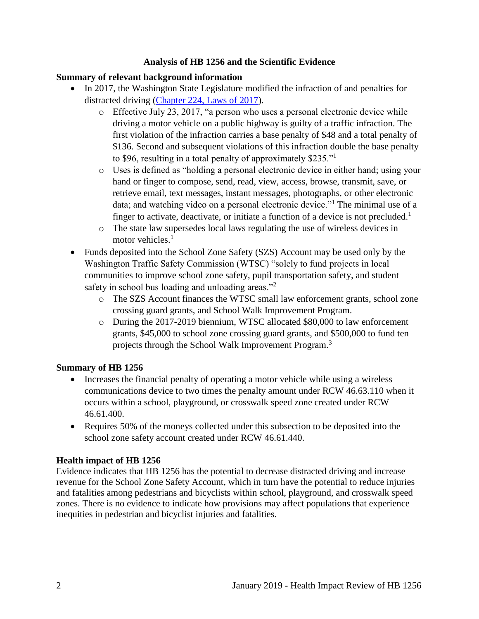## **Analysis of HB 1256 and the Scientific Evidence**

## <span id="page-4-0"></span>**Summary of relevant background information**

- In 2017, the Washington State Legislature modified the infraction of and penalties for distracted driving [\(Chapter 224, Laws of 2017\)](http://lawfilesext.leg.wa.gov/biennium/2017-18/Pdf/Bills/Session%20Laws/Senate/5289-S.SL.pdf).
	- o Effective July 23, 2017, "a person who uses a personal electronic device while driving a motor vehicle on a public highway is guilty of a traffic infraction. The first violation of the infraction carries a base penalty of \$48 and a total penalty of \$136. Second and subsequent violations of this infraction double the base penalty to \$96, resulting in a total penalty of approximately \$235."<sup>1</sup>
	- o Uses is defined as "holding a personal electronic device in either hand; using your hand or finger to compose, send, read, view, access, browse, transmit, save, or retrieve email, text messages, instant messages, photographs, or other electronic data; and watching video on a personal electronic device."<sup>1</sup> The minimal use of a finger to activate, deactivate, or initiate a function of a device is not precluded.<sup>1</sup>
	- o The state law supersedes local laws regulating the use of wireless devices in motor vehicles.<sup>1</sup>
- Funds deposited into the School Zone Safety (SZS) Account may be used only by the Washington Traffic Safety Commission (WTSC) "solely to fund projects in local communities to improve school zone safety, pupil transportation safety, and student safety in school bus loading and unloading areas."<sup>2</sup>
	- o The SZS Account finances the WTSC small law enforcement grants, school zone crossing guard grants, and School Walk Improvement Program.
	- o During the 2017-2019 biennium, WTSC allocated \$80,000 to law enforcement grants, \$45,000 to school zone crossing guard grants, and \$500,000 to fund ten projects through the School Walk Improvement Program.<sup>3</sup>

#### **Summary of HB 1256**

- Increases the financial penalty of operating a motor vehicle while using a wireless communications device to two times the penalty amount under RCW 46.63.110 when it occurs within a school, playground, or crosswalk speed zone created under RCW 46.61.400.
- Requires 50% of the moneys collected under this subsection to be deposited into the school zone safety account created under RCW 46.61.440.

## **Health impact of HB 1256**

Evidence indicates that HB 1256 has the potential to decrease distracted driving and increase revenue for the School Zone Safety Account, which in turn have the potential to reduce injuries and fatalities among pedestrians and bicyclists within school, playground, and crosswalk speed zones. There is no evidence to indicate how provisions may affect populations that experience inequities in pedestrian and bicyclist injuries and fatalities.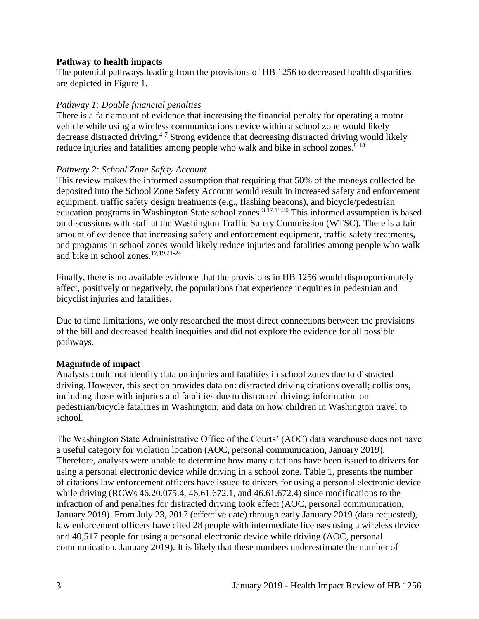#### **Pathway to health impacts**

The potential pathways leading from the provisions of HB 1256 to decreased health disparities are depicted in Figure 1.

## *Pathway 1: Double financial penalties*

There is a fair amount of evidence that increasing the financial penalty for operating a motor vehicle while using a wireless communications device within a school zone would likely decrease distracted driving.<sup>4-7</sup> Strong evidence that decreasing distracted driving would likely reduce injuries and fatalities among people who walk and bike in school zones. $8-18$ 

### *Pathway 2: School Zone Safety Account*

This review makes the informed assumption that requiring that 50% of the moneys collected be deposited into the School Zone Safety Account would result in increased safety and enforcement equipment, traffic safety design treatments (e.g., flashing beacons), and bicycle/pedestrian education programs in Washington State school zones.<sup>[3](#page-21-0)[,17](#page-26-0)[,19](#page-26-1)[,20](#page-26-2)</sup> This informed assumption is based on discussions with staff at the Washington Traffic Safety Commission (WTSC). There is a fair amount of evidence that increasing safety and enforcement equipment, traffic safety treatments, and programs in school zones would likely reduce injuries and fatalities among people who walk and bike in school zones. $17,19,21-24$  $17,19,21-24$  $17,19,21-24$ 

Finally, there is no available evidence that the provisions in HB 1256 would disproportionately affect, positively or negatively, the populations that experience inequities in pedestrian and bicyclist injuries and fatalities.

Due to time limitations, we only researched the most direct connections between the provisions of the bill and decreased health inequities and did not explore the evidence for all possible pathways.

## **Magnitude of impact**

Analysts could not identify data on injuries and fatalities in school zones due to distracted driving. However, this section provides data on: distracted driving citations overall; collisions, including those with injuries and fatalities due to distracted driving; information on pedestrian/bicycle fatalities in Washington; and data on how children in Washington travel to school.

The Washington State Administrative Office of the Courts' (AOC) data warehouse does not have a useful category for violation location (AOC, personal communication, January 2019). Therefore, analysts were unable to determine how many citations have been issued to drivers for using a personal electronic device while driving in a school zone. Table 1, presents the number of citations law enforcement officers have issued to drivers for using a personal electronic device while driving (RCWs 46.20.075.4, 46.61.672.1, and 46.61.672.4) since modifications to the infraction of and penalties for distracted driving took effect (AOC, personal communication, January 2019). From July 23, 2017 (effective date) through early January 2019 (data requested), law enforcement officers have cited 28 people with intermediate licenses using a wireless device and 40,517 people for using a personal electronic device while driving (AOC, personal communication, January 2019). It is likely that these numbers underestimate the number of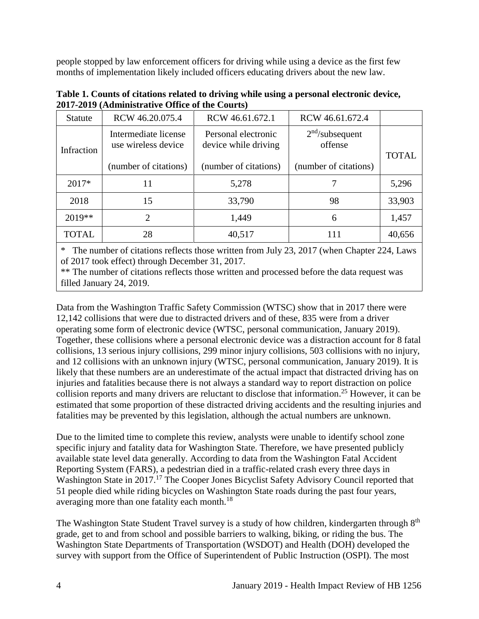people stopped by law enforcement officers for driving while using a device as the first few months of implementation likely included officers educating drivers about the new law.

| <b>Statute</b> | RCW 46.20.075.4                             | RCW 46.61.672.1                             | RCW 46.61.672.4                        |              |  |  |  |
|----------------|---------------------------------------------|---------------------------------------------|----------------------------------------|--------------|--|--|--|
| Infraction     | Intermediate license<br>use wireless device | Personal electronic<br>device while driving | 2 <sup>nd</sup> /subsequent<br>offense | <b>TOTAL</b> |  |  |  |
|                | (number of citations)                       | (number of citations)                       | (number of citations)                  |              |  |  |  |
| $2017*$        | 11                                          | 5,278                                       |                                        | 5,296        |  |  |  |
| 2018           | 15                                          | 33,790                                      | 98                                     | 33,903       |  |  |  |
| $2019**$       | 2                                           | 1,449                                       | 6                                      | 1,457        |  |  |  |
| TOTAL          | 28                                          | 40,517                                      | 111                                    | 40,656       |  |  |  |

**Table 1. Counts of citations related to driving while using a personal electronic device, 2017-2019 (Administrative Office of the Courts)**

\* The number of citations reflects those written from July 23, 2017 (when Chapter 224, Laws of 2017 took effect) through December 31, 2017.

\*\* The number of citations reflects those written and processed before the data request was filled January 24, 2019.

Data from the Washington Traffic Safety Commission (WTSC) show that in 2017 there were 12,142 collisions that were due to distracted drivers and of these, 835 were from a driver operating some form of electronic device (WTSC, personal communication, January 2019). Together, these collisions where a personal electronic device was a distraction account for 8 fatal collisions, 13 serious injury collisions, 299 minor injury collisions, 503 collisions with no injury, and 12 collisions with an unknown injury (WTSC, personal communication, January 2019). It is likely that these numbers are an underestimate of the actual impact that distracted driving has on injuries and fatalities because there is not always a standard way to report distraction on police collision reports and many drivers are reluctant to disclose that information. <sup>25</sup> However, it can be estimated that some proportion of these distracted driving accidents and the resulting injuries and fatalities may be prevented by this legislation, although the actual numbers are unknown.

Due to the limited time to complete this review, analysts were unable to identify school zone specific injury and fatality data for Washington State. Therefore, we have presented publicly available state level data generally. According to data from the Washington Fatal Accident Reporting System (FARS), a pedestrian died in a traffic-related crash every three days in Washington State in 2017.<sup>17</sup> The Cooper Jones Bicyclist Safety Advisory Council reported that 51 people died while riding bicycles on Washington State roads during the past four years, averaging more than one fatality each month.<sup>18</sup>

The Washington State Student Travel survey is a study of how children, kindergarten through 8<sup>th</sup> grade, get to and from school and possible barriers to walking, biking, or riding the bus. The Washington State Departments of Transportation (WSDOT) and Health (DOH) developed the survey with support from the Office of Superintendent of Public Instruction (OSPI). The most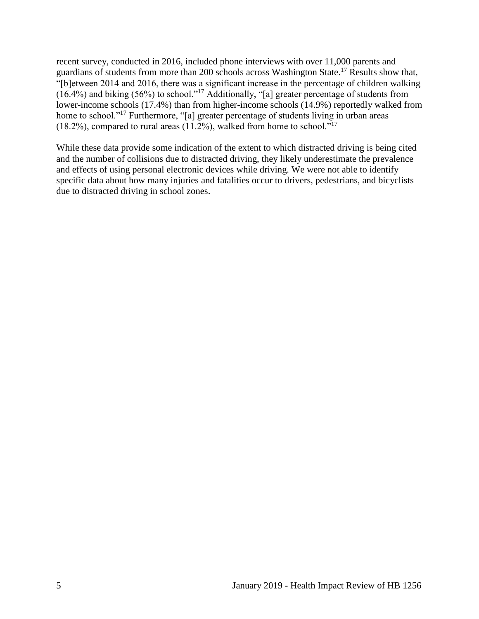recent survey, conducted in 2016, included phone interviews with over 11,000 parents and guardians of students from more than 200 schools across Washington State.<sup>17</sup> Results show that, "[b]etween 2014 and 2016, there was a significant increase in the percentage of children walking (16.4%) and biking (56%) to school."<sup>17</sup> Additionally, "[a] greater percentage of students from lower-income schools (17.4%) than from higher-income schools (14.9%) reportedly walked from home to school."<sup>17</sup> Furthermore, "[a] greater percentage of students living in urban areas  $(18.2\%)$ , compared to rural areas  $(11.2\%)$ , walked from home to school."<sup>17</sup>

While these data provide some indication of the extent to which distracted driving is being cited and the number of collisions due to distracted driving, they likely underestimate the prevalence and effects of using personal electronic devices while driving. We were not able to identify specific data about how many injuries and fatalities occur to drivers, pedestrians, and bicyclists due to distracted driving in school zones.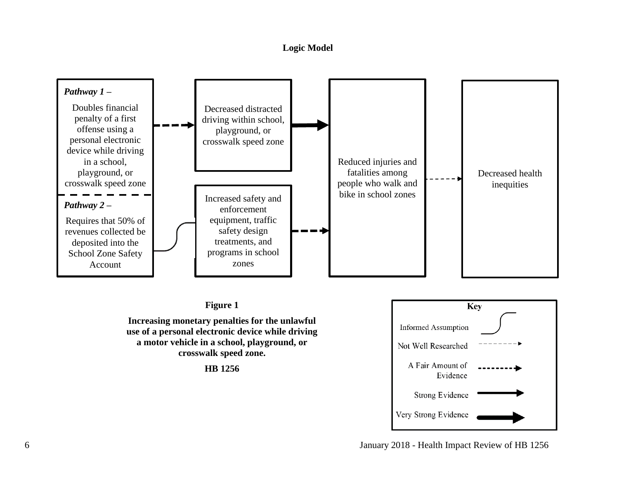### **Logic Model**

<span id="page-8-0"></span>

## **Figure 1**

**Increasing monetary penalties for the unlawful use of a personal electronic device while driving a motor vehicle in a school, playground, or crosswalk speed zone.**

**HB 1256**



6 January 2018 - Health Impact Review of HB 1256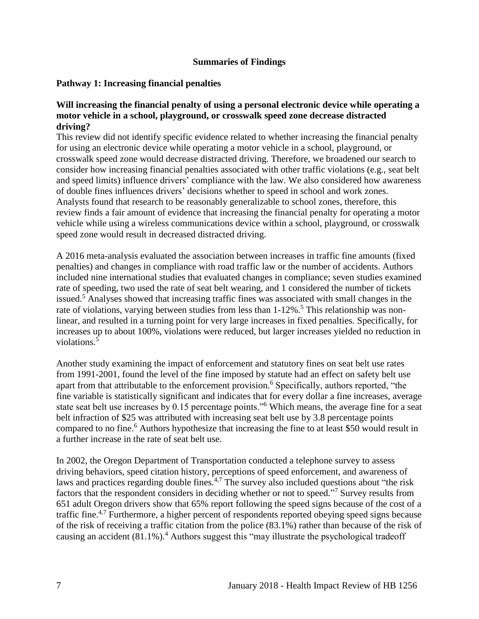### **Summaries of Findings**

### <span id="page-9-0"></span>**Pathway 1: Increasing financial penalties**

#### **Will increasing the financial penalty of using a personal electronic device while operating a motor vehicle in a school, playground, or crosswalk speed zone decrease distracted driving?**

This review did not identify specific evidence related to whether increasing the financial penalty for using an electronic device while operating a motor vehicle in a school, playground, or crosswalk speed zone would decrease distracted driving. Therefore, we broadened our search to consider how increasing financial penalties associated with other traffic violations (e.g., seat belt and speed limits) influence drivers' compliance with the law. We also considered how awareness of double fines influences drivers' decisions whether to speed in school and work zones. Analysts found that research to be reasonably generalizable to school zones, therefore, this review finds a fair amount of evidence that increasing the financial penalty for operating a motor vehicle while using a wireless communications device within a school, playground, or crosswalk speed zone would result in decreased distracted driving.

A 2016 meta-analysis evaluated the association between increases in traffic fine amounts (fixed penalties) and changes in compliance with road traffic law or the number of accidents. Authors included nine international studies that evaluated changes in compliance; seven studies examined rate of speeding, two used the rate of seat belt wearing, and 1 considered the number of tickets issued.<sup>5</sup> Analyses showed that increasing traffic fines was associated with small changes in the rate of violations, varying between studies from less than  $1-12\%$ .<sup>5</sup> This relationship was nonlinear, and resulted in a turning point for very large increases in fixed penalties. Specifically, for increases up to about 100%, violations were reduced, but larger increases yielded no reduction in violations.<sup>5</sup>

Another study examining the impact of enforcement and statutory fines on seat belt use rates from 1991-2001, found the level of the fine imposed by statute had an effect on safety belt use apart from that attributable to the enforcement provision.<sup>6</sup> Specifically, authors reported, "the fine variable is statistically significant and indicates that for every dollar a fine increases, average state seat belt use increases by 0.15 percentage points."<sup>6</sup> Which means, the average fine for a seat belt infraction of \$25 was attributed with increasing seat belt use by 3.8 percentage points compared to no fine.<sup>6</sup> Authors hypothesize that increasing the fine to at least \$50 would result in a further increase in the rate of seat belt use.

In 2002, the Oregon Department of Transportation conducted a telephone survey to assess driving behaviors, speed citation history, perceptions of speed enforcement, and awareness of laws and practices regarding double fines.<sup>[4,](#page-21-1)[7](#page-22-0)</sup> The survey also included questions about "the risk" factors that the respondent considers in deciding whether or not to speed."<sup>7</sup> Survey results from 651 adult Oregon drivers show that 65% report following the speed signs because of the cost of a traffic fine.<sup>[4,](#page-21-1)[7](#page-22-0)</sup> Furthermore, a higher percent of respondents reported obeying speed signs because of the risk of receiving a traffic citation from the police (83.1%) rather than because of the risk of causing an accident (81.1%).<sup>4</sup> Authors suggest this "may illustrate the psychological tradeoff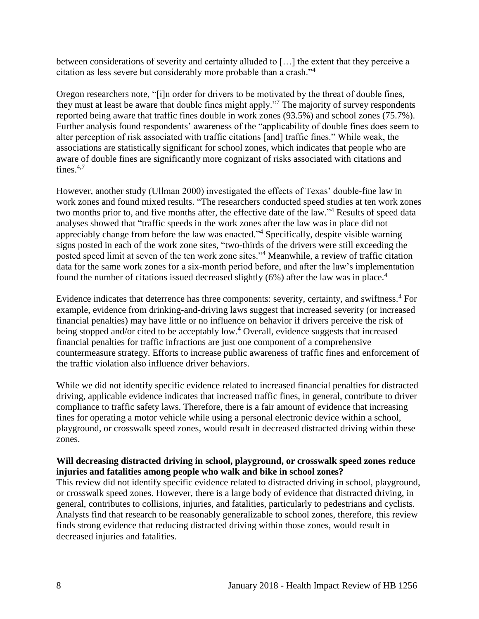between considerations of severity and certainty alluded to […] the extent that they perceive a citation as less severe but considerably more probable than a crash."<sup>4</sup>

Oregon researchers note, "[i]n order for drivers to be motivated by the threat of double fines, they must at least be aware that double fines might apply."<sup>7</sup> The majority of survey respondents reported being aware that traffic fines double in work zones (93.5%) and school zones (75.7%). Further analysis found respondents' awareness of the "applicability of double fines does seem to alter perception of risk associated with traffic citations [and] traffic fines." While weak, the associations are statistically significant for school zones, which indicates that people who are aware of double fines are significantly more cognizant of risks associated with citations and fines. $4,7$  $4,7$ 

However, another study (Ullman 2000) investigated the effects of Texas' double-fine law in work zones and found mixed results. "The researchers conducted speed studies at ten work zones two months prior to, and five months after, the effective date of the law."<sup>4</sup> Results of speed data analyses showed that "traffic speeds in the work zones after the law was in place did not appreciably change from before the law was enacted."<sup>4</sup> Specifically, despite visible warning signs posted in each of the work zone sites, "two-thirds of the drivers were still exceeding the posted speed limit at seven of the ten work zone sites."<sup>4</sup> Meanwhile, a review of traffic citation data for the same work zones for a six-month period before, and after the law's implementation found the number of citations issued decreased slightly  $(6%)$  after the law was in place.<sup>4</sup>

Evidence indicates that deterrence has three components: severity, certainty, and swiftness.<sup>4</sup> For example, evidence from drinking-and-driving laws suggest that increased severity (or increased financial penalties) may have little or no influence on behavior if drivers perceive the risk of being stopped and/or cited to be acceptably low.<sup>4</sup> Overall, evidence suggests that increased financial penalties for traffic infractions are just one component of a comprehensive countermeasure strategy. Efforts to increase public awareness of traffic fines and enforcement of the traffic violation also influence driver behaviors.

While we did not identify specific evidence related to increased financial penalties for distracted driving, applicable evidence indicates that increased traffic fines, in general, contribute to driver compliance to traffic safety laws. Therefore, there is a fair amount of evidence that increasing fines for operating a motor vehicle while using a personal electronic device within a school, playground, or crosswalk speed zones, would result in decreased distracted driving within these zones.

### **Will decreasing distracted driving in school, playground, or crosswalk speed zones reduce injuries and fatalities among people who walk and bike in school zones?**

This review did not identify specific evidence related to distracted driving in school, playground, or crosswalk speed zones. However, there is a large body of evidence that distracted driving, in general, contributes to collisions, injuries, and fatalities, particularly to pedestrians and cyclists. Analysts find that research to be reasonably generalizable to school zones, therefore, this review finds strong evidence that reducing distracted driving within those zones, would result in decreased injuries and fatalities.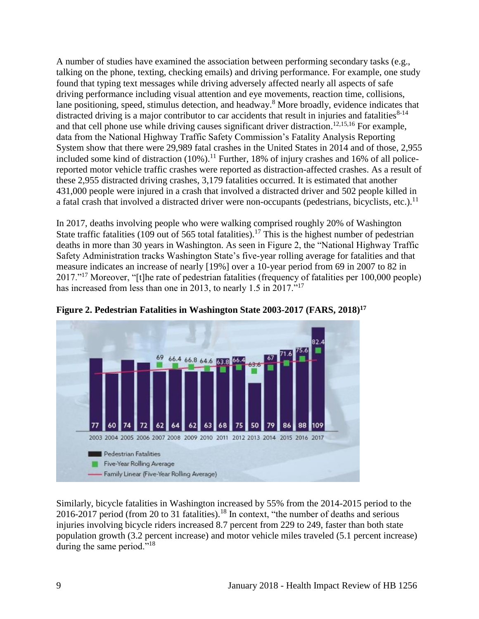A number of studies have examined the association between performing secondary tasks (e.g., talking on the phone, texting, checking emails) and driving performance. For example, one study found that typing text messages while driving adversely affected nearly all aspects of safe driving performance including visual attention and eye movements, reaction time, collisions, lane positioning, speed, stimulus detection, and headway.<sup>8</sup> More broadly, evidence indicates that distracted driving is a major contributor to car accidents that result in injuries and fatalities $8-14$ and that cell phone use while driving causes significant driver distraction.<sup>[12,](#page-24-0)[15,](#page-25-0)[16](#page-25-1)</sup> For example, data from the National Highway Traffic Safety Commission's Fatality Analysis Reporting System show that there were 29,989 fatal crashes in the United States in 2014 and of those, 2,955 included some kind of distraction  $(10\%)$ .<sup>11</sup> Further, 18% of injury crashes and 16% of all policereported motor vehicle traffic crashes were reported as distraction-affected crashes. As a result of these 2,955 distracted driving crashes, 3,179 fatalities occurred. It is estimated that another 431,000 people were injured in a crash that involved a distracted driver and 502 people killed in a fatal crash that involved a distracted driver were non-occupants (pedestrians, bicyclists, etc.).<sup>11</sup>

In 2017, deaths involving people who were walking comprised roughly 20% of Washington State traffic fatalities (109 out of 565 total fatalities).<sup>17</sup> This is the highest number of pedestrian deaths in more than 30 years in Washington. As seen in Figure 2, the "National Highway Traffic Safety Administration tracks Washington State's five-year rolling average for fatalities and that measure indicates an increase of nearly [19%] over a 10-year period from 69 in 2007 to 82 in 2017."<sup>17</sup> Moreover, "[t]he rate of pedestrian fatalities (frequency of fatalities per 100,000 people) has increased from less than one in 2013, to nearly 1.5 in 2017."<sup>17</sup>



**Figure 2. Pedestrian Fatalities in Washington State 2003-2017 (FARS, 2018)<sup>17</sup>**

Similarly, bicycle fatalities in Washington increased by 55% from the 2014-2015 period to the 2016-2017 period (from 20 to 31 fatalities).<sup>18</sup> In context, "the number of deaths and serious injuries involving bicycle riders increased 8.7 percent from 229 to 249, faster than both state population growth (3.2 percent increase) and motor vehicle miles traveled (5.1 percent increase) during the same period."<sup>18</sup>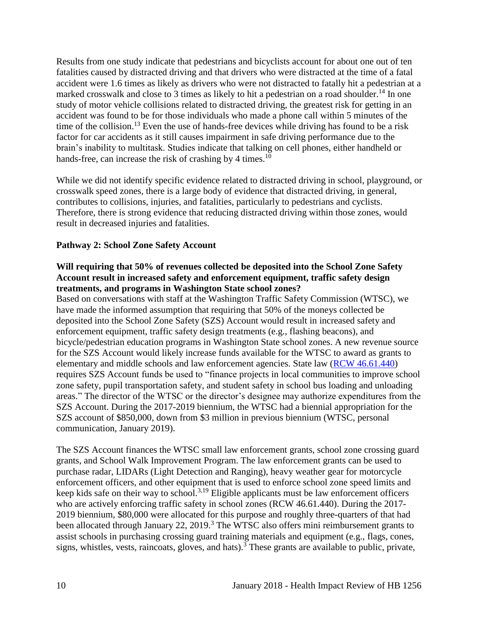Results from one study indicate that pedestrians and bicyclists account for about one out of ten fatalities caused by distracted driving and that drivers who were distracted at the time of a fatal accident were 1.6 times as likely as drivers who were not distracted to fatally hit a pedestrian at a marked crosswalk and close to 3 times as likely to hit a pedestrian on a road shoulder.<sup>14</sup> In one study of motor vehicle collisions related to distracted driving, the greatest risk for getting in an accident was found to be for those individuals who made a phone call within 5 minutes of the time of the collision.<sup>13</sup> Even the use of hands-free devices while driving has found to be a risk factor for car accidents as it still causes impairment in safe driving performance due to the brain's inability to multitask. Studies indicate that talking on cell phones, either handheld or hands-free, can increase the risk of crashing by 4 times.<sup>10</sup>

While we did not identify specific evidence related to distracted driving in school, playground, or crosswalk speed zones, there is a large body of evidence that distracted driving, in general, contributes to collisions, injuries, and fatalities, particularly to pedestrians and cyclists. Therefore, there is strong evidence that reducing distracted driving within those zones, would result in decreased injuries and fatalities.

## **Pathway 2: School Zone Safety Account**

#### **Will requiring that 50% of revenues collected be deposited into the School Zone Safety Account result in increased safety and enforcement equipment, traffic safety design treatments, and programs in Washington State school zones?**

Based on conversations with staff at the Washington Traffic Safety Commission (WTSC), we have made the informed assumption that requiring that 50% of the moneys collected be deposited into the School Zone Safety (SZS) Account would result in increased safety and enforcement equipment, traffic safety design treatments (e.g., flashing beacons), and bicycle/pedestrian education programs in Washington State school zones. A new revenue source for the SZS Account would likely increase funds available for the WTSC to award as grants to elementary and middle schools and law enforcement agencies. State law [\(RCW 46.61.440\)](https://app.leg.wa.gov/RCW/default.aspx?cite=46.61.440) requires SZS Account funds be used to "finance projects in local communities to improve school zone safety, pupil transportation safety, and student safety in school bus loading and unloading areas." The director of the WTSC or the director's designee may authorize expenditures from the SZS Account. During the 2017-2019 biennium, the WTSC had a biennial appropriation for the SZS account of \$850,000, down from \$3 million in previous biennium (WTSC, personal communication, January 2019).

The SZS Account finances the WTSC small law enforcement grants, school zone crossing guard grants, and School Walk Improvement Program. The law enforcement grants can be used to purchase radar, LIDARs (Light Detection and Ranging), heavy weather gear for motorcycle enforcement officers, and other equipment that is used to enforce school zone speed limits and keep kids safe on their way to school.<sup>[3,](#page-21-0)[19](#page-26-1)</sup> Eligible applicants must be law enforcement officers who are actively enforcing traffic safety in school zones (RCW 46.61.440). During the 2017-2019 biennium, \$80,000 were allocated for this purpose and roughly three-quarters of that had been allocated through January 22, 2019.<sup>3</sup> The WTSC also offers mini reimbursement grants to assist schools in purchasing crossing guard training materials and equipment (e.g., flags, cones, signs, whistles, vests, raincoats, gloves, and hats).<sup>3</sup> These grants are available to public, private,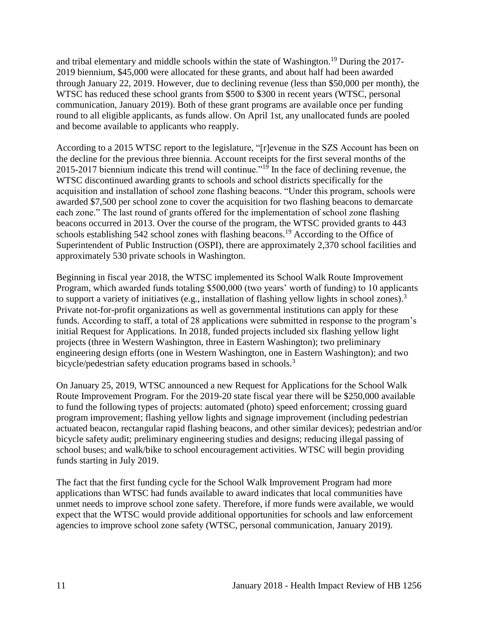and tribal elementary and middle schools within the state of Washington.<sup>19</sup> During the 2017- 2019 biennium, \$45,000 were allocated for these grants, and about half had been awarded through January 22, 2019. However, due to declining revenue (less than \$50,000 per month), the WTSC has reduced these school grants from \$500 to \$300 in recent years (WTSC, personal communication, January 2019). Both of these grant programs are available once per funding round to all eligible applicants, as funds allow. On April 1st, any unallocated funds are pooled and become available to applicants who reapply.

According to a 2015 WTSC report to the legislature, "[r]evenue in the SZS Account has been on the decline for the previous three biennia. Account receipts for the first several months of the 2015-2017 biennium indicate this trend will continue."<sup>19</sup> In the face of declining revenue, the WTSC discontinued awarding grants to schools and school districts specifically for the acquisition and installation of school zone flashing beacons. "Under this program, schools were awarded \$7,500 per school zone to cover the acquisition for two flashing beacons to demarcate each zone." The last round of grants offered for the implementation of school zone flashing beacons occurred in 2013. Over the course of the program, the WTSC provided grants to 443 schools establishing 542 school zones with flashing beacons.<sup>19</sup> According to the Office of Superintendent of Public Instruction (OSPI), there are approximately 2,370 school facilities and approximately 530 private schools in Washington.

Beginning in fiscal year 2018, the WTSC implemented its School Walk Route Improvement Program, which awarded funds totaling \$500,000 (two years' worth of funding) to 10 applicants to support a variety of initiatives (e.g., installation of flashing yellow lights in school zones).<sup>3</sup> Private not-for-profit organizations as well as governmental institutions can apply for these funds. According to staff, a total of 28 applications were submitted in response to the program's initial Request for Applications. In 2018, funded projects included six flashing yellow light projects (three in Western Washington, three in Eastern Washington); two preliminary engineering design efforts (one in Western Washington, one in Eastern Washington); and two bicycle/pedestrian safety education programs based in schools.<sup>3</sup>

On January 25, 2019, WTSC announced a new Request for Applications for the School Walk Route Improvement Program. For the 2019-20 state fiscal year there will be \$250,000 available to fund the following types of projects: automated (photo) speed enforcement; crossing guard program improvement; flashing yellow lights and signage improvement (including pedestrian actuated beacon, rectangular rapid flashing beacons, and other similar devices); pedestrian and/or bicycle safety audit; preliminary engineering studies and designs; reducing illegal passing of school buses; and walk/bike to school encouragement activities. WTSC will begin providing funds starting in July 2019.

The fact that the first funding cycle for the School Walk Improvement Program had more applications than WTSC had funds available to award indicates that local communities have unmet needs to improve school zone safety. Therefore, if more funds were available, we would expect that the WTSC would provide additional opportunities for schools and law enforcement agencies to improve school zone safety (WTSC, personal communication, January 2019).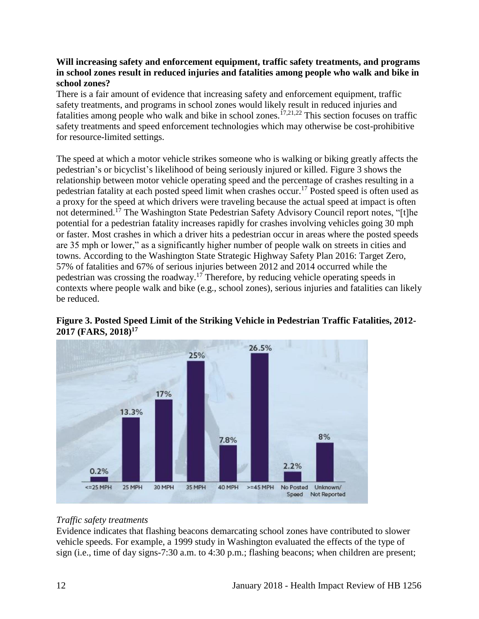## **Will increasing safety and enforcement equipment, traffic safety treatments, and programs in school zones result in reduced injuries and fatalities among people who walk and bike in school zones?**

There is a fair amount of evidence that increasing safety and enforcement equipment, traffic safety treatments, and programs in school zones would likely result in reduced injuries and fatalities among people who walk and bike in school zones.<sup>[17](#page-26-0)[,21](#page-26-3)[,22](#page-27-0)</sup> This section focuses on traffic safety treatments and speed enforcement technologies which may otherwise be cost-prohibitive for resource-limited settings.

The speed at which a motor vehicle strikes someone who is walking or biking greatly affects the pedestrian's or bicyclist's likelihood of being seriously injured or killed. Figure 3 shows the relationship between motor vehicle operating speed and the percentage of crashes resulting in a pedestrian fatality at each posted speed limit when crashes occur.<sup>17</sup> Posted speed is often used as a proxy for the speed at which drivers were traveling because the actual speed at impact is often not determined.<sup>17</sup> The Washington State Pedestrian Safety Advisory Council report notes, "[t]he potential for a pedestrian fatality increases rapidly for crashes involving vehicles going 30 mph or faster. Most crashes in which a driver hits a pedestrian occur in areas where the posted speeds are 35 mph or lower," as a significantly higher number of people walk on streets in cities and towns. According to the Washington State Strategic Highway Safety Plan 2016: Target Zero, 57% of fatalities and 67% of serious injuries between 2012 and 2014 occurred while the pedestrian was crossing the roadway.<sup>17</sup> Therefore, by reducing vehicle operating speeds in contexts where people walk and bike (e.g., school zones), serious injuries and fatalities can likely be reduced.





## *Traffic safety treatments*

Evidence indicates that flashing beacons demarcating school zones have contributed to slower vehicle speeds. For example, a 1999 study in Washington evaluated the effects of the type of sign (i.e., time of day signs-7:30 a.m. to 4:30 p.m.; flashing beacons; when children are present;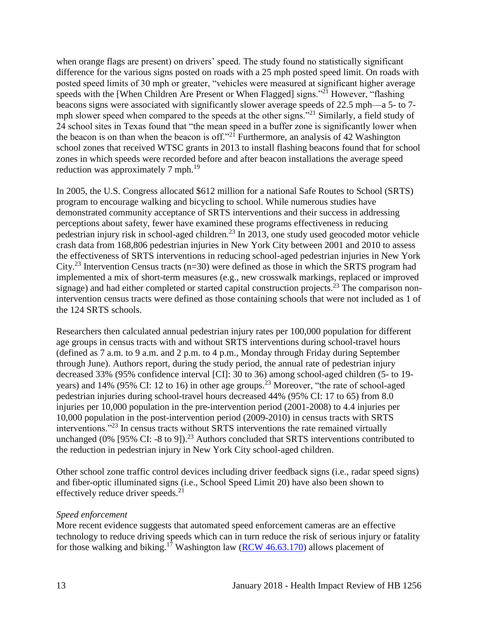when orange flags are present) on drivers' speed. The study found no statistically significant difference for the various signs posted on roads with a 25 mph posted speed limit. On roads with posted speed limits of 30 mph or greater, "vehicles were measured at significant higher average speeds with the [When Children Are Present or When Flagged] signs."<sup>21</sup> However, "flashing" beacons signs were associated with significantly slower average speeds of 22.5 mph—a 5- to 7 mph slower speed when compared to the speeds at the other signs."<sup>21</sup> Similarly, a field study of 24 school sites in Texas found that "the mean speed in a buffer zone is significantly lower when the beacon is on than when the beacon is off."<sup>21</sup> Furthermore, an analysis of 42 Washington school zones that received WTSC grants in 2013 to install flashing beacons found that for school zones in which speeds were recorded before and after beacon installations the average speed reduction was approximately 7 mph.<sup>19</sup>

In 2005, the U.S. Congress allocated \$612 million for a national Safe Routes to School (SRTS) program to encourage walking and bicycling to school. While numerous studies have demonstrated community acceptance of SRTS interventions and their success in addressing perceptions about safety, fewer have examined these programs effectiveness in reducing pedestrian injury risk in school-aged children.<sup>23</sup> In 2013, one study used geocoded motor vehicle crash data from 168,806 pedestrian injuries in New York City between 2001 and 2010 to assess the effectiveness of SRTS interventions in reducing school-aged pedestrian injuries in New York City.<sup>23</sup> Intervention Census tracts ( $n=30$ ) were defined as those in which the SRTS program had implemented a mix of short-term measures (e.g., new crosswalk markings, replaced or improved signage) and had either completed or started capital construction projects.<sup>23</sup> The comparison nonintervention census tracts were defined as those containing schools that were not included as 1 of the 124 SRTS schools.

Researchers then calculated annual pedestrian injury rates per 100,000 population for different age groups in census tracts with and without SRTS interventions during school-travel hours (defined as 7 a.m. to 9 a.m. and 2 p.m. to 4 p.m., Monday through Friday during September through June). Authors report, during the study period, the annual rate of pedestrian injury decreased 33% (95% confidence interval [CI]: 30 to 36) among school-aged children (5- to 19 years) and 14% (95% CI: 12 to 16) in other age groups.<sup>23</sup> Moreover, "the rate of school-aged pedestrian injuries during school-travel hours decreased 44% (95% CI: 17 to 65) from 8.0 injuries per 10,000 population in the pre-intervention period (2001-2008) to 4.4 injuries per 10,000 population in the post-intervention period (2009-2010) in census tracts with SRTS interventions."<sup>23</sup> In census tracts without SRTS interventions the rate remained virtually unchanged (0% [95% CI: -8 to 9]).<sup>23</sup> Authors concluded that SRTS interventions contributed to the reduction in pedestrian injury in New York City school-aged children.

Other school zone traffic control devices including driver feedback signs (i.e., radar speed signs) and fiber-optic illuminated signs (i.e., School Speed Limit 20) have also been shown to effectively reduce driver speeds. $21$ 

#### *Speed enforcement*

More recent evidence suggests that automated speed enforcement cameras are an effective technology to reduce driving speeds which can in turn reduce the risk of serious injury or fatality for those walking and biking.<sup>17</sup> Washington law ( $RCW$  46.63.170) allows placement of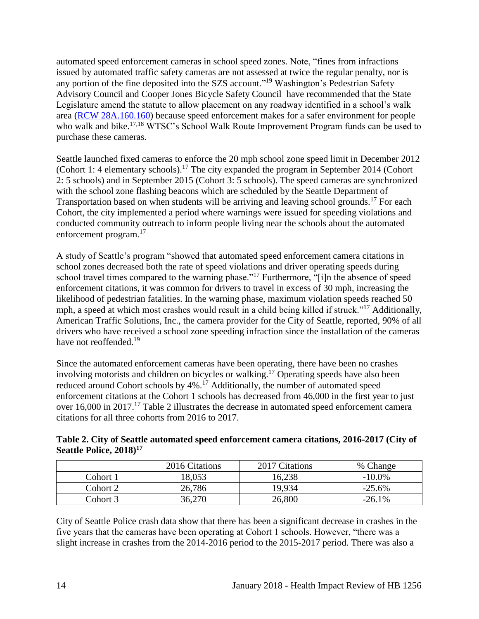automated speed enforcement cameras in school speed zones. Note, "fines from infractions issued by automated traffic safety cameras are not assessed at twice the regular penalty, nor is any portion of the fine deposited into the SZS account."<sup>19</sup> Washington's Pedestrian Safety Advisory Council and Cooper Jones Bicycle Safety Council have recommended that the State Legislature amend the statute to allow placement on any roadway identified in a school's walk area [\(RCW 28A.160.160\)](https://app.leg.wa.gov/rcw/default.aspx?cite=28a.160.160) because speed enforcement makes for a safer environment for people who walk and bike.<sup>[17](#page-26-0)[,18](#page-26-4)</sup> WTSC's School Walk Route Improvement Program funds can be used to purchase these cameras.

Seattle launched fixed cameras to enforce the 20 mph school zone speed limit in December 2012 (Cohort 1: 4 elementary schools).<sup>17</sup> The city expanded the program in September 2014 (Cohort 2: 5 schools) and in September 2015 (Cohort 3: 5 schools). The speed cameras are synchronized with the school zone flashing beacons which are scheduled by the Seattle Department of Transportation based on when students will be arriving and leaving school grounds.<sup>17</sup> For each Cohort, the city implemented a period where warnings were issued for speeding violations and conducted community outreach to inform people living near the schools about the automated enforcement program.<sup>17</sup>

A study of Seattle's program "showed that automated speed enforcement camera citations in school zones decreased both the rate of speed violations and driver operating speeds during school travel times compared to the warning phase."<sup>17</sup> Furthermore, "[i]n the absence of speed enforcement citations, it was common for drivers to travel in excess of 30 mph, increasing the likelihood of pedestrian fatalities. In the warning phase, maximum violation speeds reached 50 mph, a speed at which most crashes would result in a child being killed if struck."<sup>17</sup> Additionally, American Traffic Solutions, Inc., the camera provider for the City of Seattle, reported, 90% of all drivers who have received a school zone speeding infraction since the installation of the cameras have not reoffended.<sup>19</sup>

Since the automated enforcement cameras have been operating, there have been no crashes involving motorists and children on bicycles or walking. <sup>17</sup> Operating speeds have also been reduced around Cohort schools by  $4\%$ .<sup>17</sup> Additionally, the number of automated speed enforcement citations at the Cohort 1 schools has decreased from 46,000 in the first year to just over 16,000 in 2017.<sup>17</sup> Table 2 illustrates the decrease in automated speed enforcement camera citations for all three cohorts from 2016 to 2017.

### **Table 2. City of Seattle automated speed enforcement camera citations, 2016-2017 (City of Seattle Police, 2018)<sup>17</sup>**

|          | 2016 Citations | 2017 Citations | % Change  |
|----------|----------------|----------------|-----------|
| Cohort 1 | 18,053         | 16,238         | $-10.0\%$ |
| Cohort 2 | 26,786         | 19,934         | $-25.6%$  |
| Cohort 3 | 36,270         | 26,800         | $-26.1\%$ |

City of Seattle Police crash data show that there has been a significant decrease in crashes in the five years that the cameras have been operating at Cohort 1 schools. However, "there was a slight increase in crashes from the 2014-2016 period to the 2015-2017 period. There was also a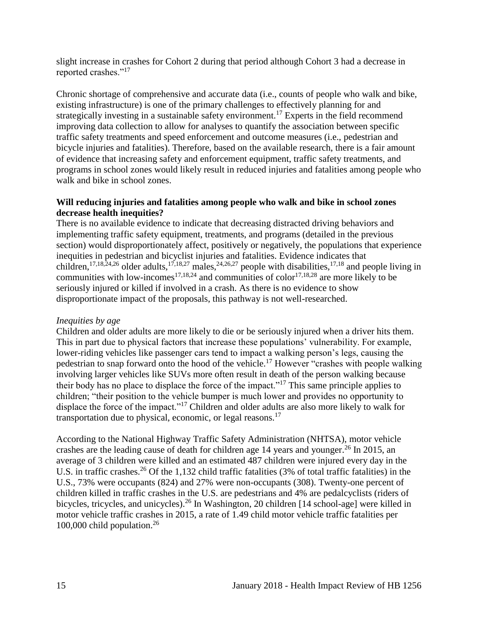slight increase in crashes for Cohort 2 during that period although Cohort 3 had a decrease in reported crashes."<sup>17</sup>

Chronic shortage of comprehensive and accurate data (i.e., counts of people who walk and bike, existing infrastructure) is one of the primary challenges to effectively planning for and strategically investing in a sustainable safety environment.<sup>17</sup> Experts in the field recommend improving data collection to allow for analyses to quantify the association between specific traffic safety treatments and speed enforcement and outcome measures (i.e., pedestrian and bicycle injuries and fatalities). Therefore, based on the available research, there is a fair amount of evidence that increasing safety and enforcement equipment, traffic safety treatments, and programs in school zones would likely result in reduced injuries and fatalities among people who walk and bike in school zones.

## <span id="page-17-0"></span>**Will reducing injuries and fatalities among people who walk and bike in school zones decrease health inequities?**

There is no available evidence to indicate that decreasing distracted driving behaviors and implementing traffic safety equipment, treatments, and programs (detailed in the previous section) would disproportionately affect, positively or negatively, the populations that experience inequities in pedestrian and bicyclist injuries and fatalities. Evidence indicates that children,<sup>[17,](#page-26-0)[18,](#page-26-4)[24,](#page-27-1)[26](#page-28-0)</sup> older adults,<sup>17,18,[27](#page-29-0)</sup> males,<sup>24,[26,](#page-28-0)27</sup> people with disabilities,<sup>[17](#page-26-0)[,18](#page-26-4)</sup> and people living in communities with low-incomes<sup>[17,](#page-26-0)[18,](#page-26-4)[24](#page-27-1)</sup> and communities of color<sup>17,18,[28](#page-29-1)</sup> are more likely to be seriously injured or killed if involved in a crash. As there is no evidence to show disproportionate impact of the proposals, this pathway is not well-researched.

## *Inequities by age*

Children and older adults are more likely to die or be seriously injured when a driver hits them. This in part due to physical factors that increase these populations' vulnerability. For example, lower-riding vehicles like passenger cars tend to impact a walking person's legs, causing the pedestrian to snap forward onto the hood of the vehicle.<sup>17</sup> However "crashes with people walking involving larger vehicles like SUVs more often result in death of the person walking because their body has no place to displace the force of the impact."<sup>17</sup> This same principle applies to children; "their position to the vehicle bumper is much lower and provides no opportunity to displace the force of the impact."<sup>17</sup> Children and older adults are also more likely to walk for transportation due to physical, economic, or legal reasons.<sup>17</sup>

According to the National Highway Traffic Safety Administration (NHTSA), motor vehicle crashes are the leading cause of death for children age 14 years and younger.<sup>26</sup> In 2015, an average of 3 children were killed and an estimated 487 children were injured every day in the U.S. in traffic crashes.<sup>26</sup> Of the 1,132 child traffic fatalities (3% of total traffic fatalities) in the U.S., 73% were occupants (824) and 27% were non-occupants (308). Twenty-one percent of children killed in traffic crashes in the U.S. are pedestrians and 4% are pedalcyclists (riders of bicycles, tricycles, and unicycles).<sup>26</sup> In Washington, 20 children [14 school-age] were killed in motor vehicle traffic crashes in 2015, a rate of 1.49 child motor vehicle traffic fatalities per 100,000 child population. 26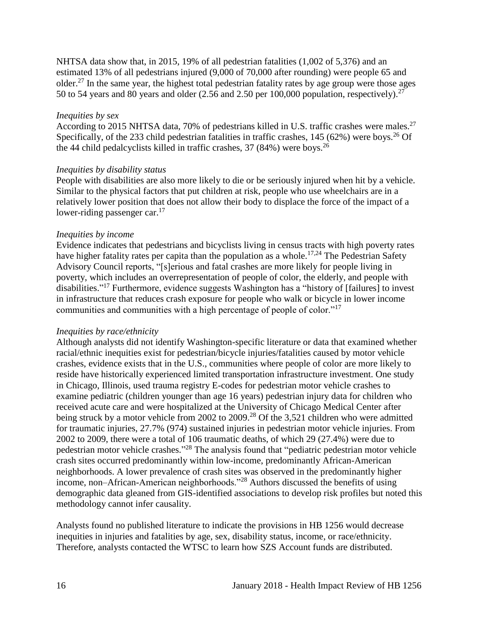NHTSA data show that, in 2015, 19% of all pedestrian fatalities (1,002 of 5,376) and an estimated 13% of all pedestrians injured (9,000 of 70,000 after rounding) were people 65 and older.<sup>27</sup> In the same year, the highest total pedestrian fatality rates by age group were those ages 50 to 54 years and 80 years and older (2.56 and 2.50 per 100,000 population, respectively).<sup>27</sup>

#### *Inequities by sex*

According to 2015 NHTSA data, 70% of pedestrians killed in U.S. traffic crashes were males.<sup>27</sup> Specifically, of the 233 child pedestrian fatalities in traffic crashes,  $145 (62%)$  were boys.<sup>26</sup> Of the 44 child pedalcyclists killed in traffic crashes,  $37$  (84%) were boys.<sup>26</sup>

### *Inequities by disability status*

People with disabilities are also more likely to die or be seriously injured when hit by a vehicle. Similar to the physical factors that put children at risk, people who use wheelchairs are in a relatively lower position that does not allow their body to displace the force of the impact of a lower-riding passenger car. $17$ 

### *Inequities by income*

Evidence indicates that pedestrians and bicyclists living in census tracts with high poverty rates have higher fatality rates per capita than the population as a whole.<sup>[17](#page-26-0)[,24](#page-27-1)</sup> The Pedestrian Safety Advisory Council reports, "[s]erious and fatal crashes are more likely for people living in poverty, which includes an overrepresentation of people of color, the elderly, and people with disabilities."<sup>17</sup> Furthermore, evidence suggests Washington has a "history of [failures] to invest in infrastructure that reduces crash exposure for people who walk or bicycle in lower income communities and communities with a high percentage of people of color."<sup>17</sup>

## *Inequities by race/ethnicity*

Although analysts did not identify Washington-specific literature or data that examined whether racial/ethnic inequities exist for pedestrian/bicycle injuries/fatalities caused by motor vehicle crashes, evidence exists that in the U.S., communities where people of color are more likely to reside have historically experienced limited transportation infrastructure investment. One study in Chicago, Illinois, used trauma registry E-codes for pedestrian motor vehicle crashes to examine pediatric (children younger than age 16 years) pedestrian injury data for children who received acute care and were hospitalized at the University of Chicago Medical Center after being struck by a motor vehicle from 2002 to 2009.<sup>28</sup> Of the 3,521 children who were admitted for traumatic injuries, 27.7% (974) sustained injuries in pedestrian motor vehicle injuries. From 2002 to 2009, there were a total of 106 traumatic deaths, of which 29 (27.4%) were due to pedestrian motor vehicle crashes."<sup>28</sup> The analysis found that "pediatric pedestrian motor vehicle crash sites occurred predominantly within low-income, predominantly African-American neighborhoods. A lower prevalence of crash sites was observed in the predominantly higher income, non–African-American neighborhoods."<sup>28</sup> Authors discussed the benefits of using demographic data gleaned from GIS-identified associations to develop risk profiles but noted this methodology cannot infer causality.

Analysts found no published literature to indicate the provisions in HB 1256 would decrease inequities in injuries and fatalities by age, sex, disability status, income, or race/ethnicity. Therefore, analysts contacted the WTSC to learn how SZS Account funds are distributed.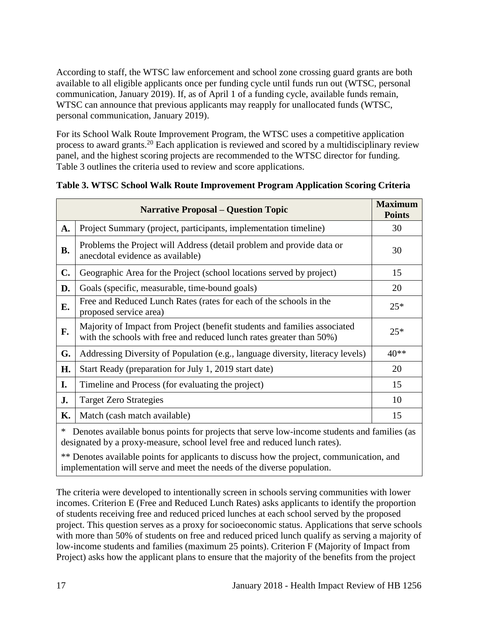According to staff, the WTSC law enforcement and school zone crossing guard grants are both available to all eligible applicants once per funding cycle until funds run out (WTSC, personal communication, January 2019). If, as of April 1 of a funding cycle, available funds remain, WTSC can announce that previous applicants may reapply for unallocated funds (WTSC, personal communication, January 2019).

For its School Walk Route Improvement Program, the WTSC uses a competitive application process to award grants.<sup>20</sup> Each application is reviewed and scored by a multidisciplinary review panel, and the highest scoring projects are recommended to the WTSC director for funding. Table 3 outlines the criteria used to review and score applications.

| <b>Narrative Proposal – Question Topic</b>                                                       |                                                                                                                                                   |        |  |  |
|--------------------------------------------------------------------------------------------------|---------------------------------------------------------------------------------------------------------------------------------------------------|--------|--|--|
| A.                                                                                               | Project Summary (project, participants, implementation timeline)                                                                                  | 30     |  |  |
| <b>B.</b>                                                                                        | Problems the Project will Address (detail problem and provide data or<br>anecdotal evidence as available)                                         | 30     |  |  |
| C.                                                                                               | Geographic Area for the Project (school locations served by project)                                                                              | 15     |  |  |
| D.                                                                                               | Goals (specific, measurable, time-bound goals)                                                                                                    | 20     |  |  |
| E.                                                                                               | Free and Reduced Lunch Rates (rates for each of the schools in the<br>proposed service area)                                                      | $25*$  |  |  |
| F.                                                                                               | Majority of Impact from Project (benefit students and families associated<br>with the schools with free and reduced lunch rates greater than 50%) | $25*$  |  |  |
| G.                                                                                               | Addressing Diversity of Population (e.g., language diversity, literacy levels)                                                                    | $40**$ |  |  |
| H.                                                                                               | Start Ready (preparation for July 1, 2019 start date)                                                                                             | 20     |  |  |
| I.                                                                                               | Timeline and Process (for evaluating the project)                                                                                                 | 15     |  |  |
| J.                                                                                               | <b>Target Zero Strategies</b>                                                                                                                     | 10     |  |  |
| Κ.                                                                                               | Match (cash match available)                                                                                                                      | 15     |  |  |
| *<br>Denotes available bonus points for projects that serve low-income students and families (as |                                                                                                                                                   |        |  |  |

### **Table 3. WTSC School Walk Route Improvement Program Application Scoring Criteria**

\* Denotes available bonus points for projects that serve low-income students and families (as designated by a proxy-measure, school level free and reduced lunch rates).

\*\* Denotes available points for applicants to discuss how the project, communication, and implementation will serve and meet the needs of the diverse population.

The criteria were developed to intentionally screen in schools serving communities with lower incomes. Criterion E (Free and Reduced Lunch Rates) asks applicants to identify the proportion of students receiving free and reduced priced lunches at each school served by the proposed project. This question serves as a proxy for socioeconomic status. Applications that serve schools with more than 50% of students on free and reduced priced lunch qualify as serving a majority of low-income students and families (maximum 25 points). Criterion F (Majority of Impact from Project) asks how the applicant plans to ensure that the majority of the benefits from the project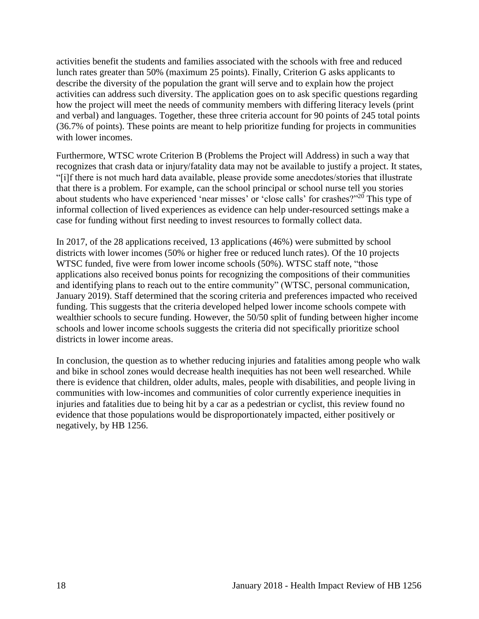activities benefit the students and families associated with the schools with free and reduced lunch rates greater than 50% (maximum 25 points). Finally, Criterion G asks applicants to describe the diversity of the population the grant will serve and to explain how the project activities can address such diversity. The application goes on to ask specific questions regarding how the project will meet the needs of community members with differing literacy levels (print and verbal) and languages. Together, these three criteria account for 90 points of 245 total points (36.7% of points). These points are meant to help prioritize funding for projects in communities with lower incomes.

Furthermore, WTSC wrote Criterion B (Problems the Project will Address) in such a way that recognizes that crash data or injury/fatality data may not be available to justify a project. It states, "[i]f there is not much hard data available, please provide some anecdotes/stories that illustrate that there is a problem. For example, can the school principal or school nurse tell you stories about students who have experienced 'near misses' or 'close calls' for crashes?"<sup>20</sup> This type of informal collection of lived experiences as evidence can help under-resourced settings make a case for funding without first needing to invest resources to formally collect data.

In 2017, of the 28 applications received, 13 applications (46%) were submitted by school districts with lower incomes (50% or higher free or reduced lunch rates). Of the 10 projects WTSC funded, five were from lower income schools (50%). WTSC staff note, "those applications also received bonus points for recognizing the compositions of their communities and identifying plans to reach out to the entire community" (WTSC, personal communication, January 2019). Staff determined that the scoring criteria and preferences impacted who received funding. This suggests that the criteria developed helped lower income schools compete with wealthier schools to secure funding. However, the 50/50 split of funding between higher income schools and lower income schools suggests the criteria did not specifically prioritize school districts in lower income areas.

In conclusion, the question as to whether reducing injuries and fatalities among people who walk and bike in school zones would decrease health inequities has not been well researched. While there is evidence that children, older adults, males, people with disabilities, and people living in communities with low-incomes and communities of color currently experience inequities in injuries and fatalities due to being hit by a car as a pedestrian or cyclist, this review found no evidence that those populations would be disproportionately impacted, either positively or negatively, by HB 1256.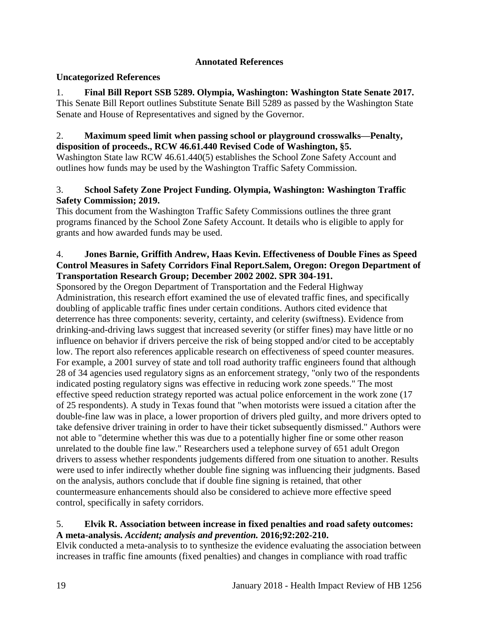# **Annotated References**

# **Uncategorized References**

1. **Final Bill Report SSB 5289. Olympia, Washington: Washington State Senate 2017.** This Senate Bill Report outlines Substitute Senate Bill 5289 as passed by the Washington State Senate and House of Representatives and signed by the Governor.

### 2. **Maximum speed limit when passing school or playground crosswalks—Penalty, disposition of proceeds., RCW 46.61.440 Revised Code of Washington, §5.**

Washington State law RCW 46.61.440(5) establishes the School Zone Safety Account and outlines how funds may be used by the Washington Traffic Safety Commission.

# <span id="page-21-0"></span>3. **School Safety Zone Project Funding. Olympia, Washington: Washington Traffic Safety Commission; 2019.**

This document from the Washington Traffic Safety Commissions outlines the three grant programs financed by the School Zone Safety Account. It details who is eligible to apply for grants and how awarded funds may be used.

## <span id="page-21-1"></span>4. **Jones Barnie, Griffith Andrew, Haas Kevin. Effectiveness of Double Fines as Speed Control Measures in Safety Corridors Final Report.Salem, Oregon: Oregon Department of Transportation Research Group; December 2002 2002. SPR 304-191.**

Sponsored by the Oregon Department of Transportation and the Federal Highway Administration, this research effort examined the use of elevated traffic fines, and specifically doubling of applicable traffic fines under certain conditions. Authors cited evidence that deterrence has three components: severity, certainty, and celerity (swiftness). Evidence from drinking-and-driving laws suggest that increased severity (or stiffer fines) may have little or no influence on behavior if drivers perceive the risk of being stopped and/or cited to be acceptably low. The report also references applicable research on effectiveness of speed counter measures. For example, a 2001 survey of state and toll road authority traffic engineers found that although 28 of 34 agencies used regulatory signs as an enforcement strategy, "only two of the respondents indicated posting regulatory signs was effective in reducing work zone speeds." The most effective speed reduction strategy reported was actual police enforcement in the work zone (17 of 25 respondents). A study in Texas found that "when motorists were issued a citation after the double-fine law was in place, a lower proportion of drivers pled guilty, and more drivers opted to take defensive driver training in order to have their ticket subsequently dismissed." Authors were not able to "determine whether this was due to a potentially higher fine or some other reason unrelated to the double fine law." Researchers used a telephone survey of 651 adult Oregon drivers to assess whether respondents judgements differed from one situation to another. Results were used to infer indirectly whether double fine signing was influencing their judgments. Based on the analysis, authors conclude that if double fine signing is retained, that other countermeasure enhancements should also be considered to achieve more effective speed control, specifically in safety corridors.

# 5. **Elvik R. Association between increase in fixed penalties and road safety outcomes: A meta-analysis.** *Accident; analysis and prevention.* **2016;92:202-210.**

Elvik conducted a meta-analysis to to synthesize the evidence evaluating the association between increases in traffic fine amounts (fixed penalties) and changes in compliance with road traffic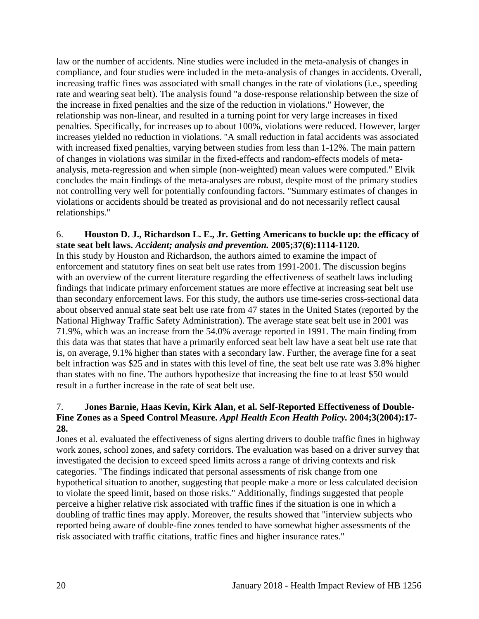law or the number of accidents. Nine studies were included in the meta-analysis of changes in compliance, and four studies were included in the meta-analysis of changes in accidents. Overall, increasing traffic fines was associated with small changes in the rate of violations (i.e., speeding rate and wearing seat belt). The analysis found "a dose-response relationship between the size of the increase in fixed penalties and the size of the reduction in violations." However, the relationship was non-linear, and resulted in a turning point for very large increases in fixed penalties. Specifically, for increases up to about 100%, violations were reduced. However, larger increases yielded no reduction in violations. "A small reduction in fatal accidents was associated with increased fixed penalties, varying between studies from less than 1-12%. The main pattern of changes in violations was similar in the fixed-effects and random-effects models of metaanalysis, meta-regression and when simple (non-weighted) mean values were computed." Elvik concludes the main findings of the meta-analyses are robust, despite most of the primary studies not controlling very well for potentially confounding factors. "Summary estimates of changes in violations or accidents should be treated as provisional and do not necessarily reflect causal relationships."

## 6. **Houston D. J., Richardson L. E., Jr. Getting Americans to buckle up: the efficacy of state seat belt laws.** *Accident; analysis and prevention.* **2005;37(6):1114-1120.**

In this study by Houston and Richardson, the authors aimed to examine the impact of enforcement and statutory fines on seat belt use rates from 1991-2001. The discussion begins with an overview of the current literature regarding the effectiveness of seatbelt laws including findings that indicate primary enforcement statues are more effective at increasing seat belt use than secondary enforcement laws. For this study, the authors use time-series cross-sectional data about observed annual state seat belt use rate from 47 states in the United States (reported by the National Highway Traffic Safety Administration). The average state seat belt use in 2001 was 71.9%, which was an increase from the 54.0% average reported in 1991. The main finding from this data was that states that have a primarily enforced seat belt law have a seat belt use rate that is, on average, 9.1% higher than states with a secondary law. Further, the average fine for a seat belt infraction was \$25 and in states with this level of fine, the seat belt use rate was 3.8% higher than states with no fine. The authors hypothesize that increasing the fine to at least \$50 would result in a further increase in the rate of seat belt use.

## <span id="page-22-0"></span>7. **Jones Barnie, Haas Kevin, Kirk Alan, et al. Self-Reported Effectiveness of Double-Fine Zones as a Speed Control Measure.** *Appl Health Econ Health Policy.* **2004;3(2004):17- 28.**

Jones et al. evaluated the effectiveness of signs alerting drivers to double traffic fines in highway work zones, school zones, and safety corridors. The evaluation was based on a driver survey that investigated the decision to exceed speed limits across a range of driving contexts and risk categories. "The findings indicated that personal assessments of risk change from one hypothetical situation to another, suggesting that people make a more or less calculated decision to violate the speed limit, based on those risks." Additionally, findings suggested that people perceive a higher relative risk associated with traffic fines if the situation is one in which a doubling of traffic fines may apply. Moreover, the results showed that "interview subjects who reported being aware of double-fine zones tended to have somewhat higher assessments of the risk associated with traffic citations, traffic fines and higher insurance rates."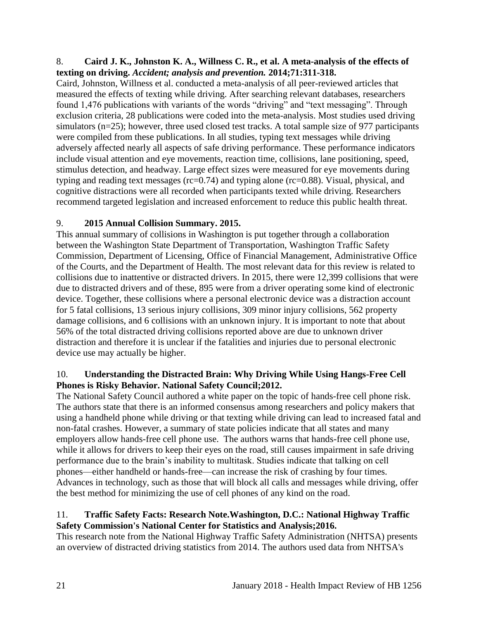### 8. **Caird J. K., Johnston K. A., Willness C. R., et al. A meta-analysis of the effects of texting on driving.** *Accident; analysis and prevention.* **2014;71:311-318.**

Caird, Johnston, Willness et al. conducted a meta-analysis of all peer-reviewed articles that measured the effects of texting while driving. After searching relevant databases, researchers found 1,476 publications with variants of the words "driving" and "text messaging". Through exclusion criteria, 28 publications were coded into the meta-analysis. Most studies used driving simulators (n=25); however, three used closed test tracks. A total sample size of 977 participants were compiled from these publications. In all studies, typing text messages while driving adversely affected nearly all aspects of safe driving performance. These performance indicators include visual attention and eye movements, reaction time, collisions, lane positioning, speed, stimulus detection, and headway. Large effect sizes were measured for eye movements during typing and reading text messages (rc=0.74) and typing alone (rc=0.88). Visual, physical, and cognitive distractions were all recorded when participants texted while driving. Researchers recommend targeted legislation and increased enforcement to reduce this public health threat.

# 9. **2015 Annual Collision Summary. 2015.**

This annual summary of collisions in Washington is put together through a collaboration between the Washington State Department of Transportation, Washington Traffic Safety Commission, Department of Licensing, Office of Financial Management, Administrative Office of the Courts, and the Department of Health. The most relevant data for this review is related to collisions due to inattentive or distracted drivers. In 2015, there were 12,399 collisions that were due to distracted drivers and of these, 895 were from a driver operating some kind of electronic device. Together, these collisions where a personal electronic device was a distraction account for 5 fatal collisions, 13 serious injury collisions, 309 minor injury collisions, 562 property damage collisions, and 6 collisions with an unknown injury. It is important to note that about 56% of the total distracted driving collisions reported above are due to unknown driver distraction and therefore it is unclear if the fatalities and injuries due to personal electronic device use may actually be higher.

# 10. **Understanding the Distracted Brain: Why Driving While Using Hangs-Free Cell Phones is Risky Behavior. National Safety Council;2012.**

The National Safety Council authored a white paper on the topic of hands-free cell phone risk. The authors state that there is an informed consensus among researchers and policy makers that using a handheld phone while driving or that texting while driving can lead to increased fatal and non-fatal crashes. However, a summary of state policies indicate that all states and many employers allow hands-free cell phone use. The authors warns that hands-free cell phone use, while it allows for drivers to keep their eyes on the road, still causes impairment in safe driving performance due to the brain's inability to multitask. Studies indicate that talking on cell phones—either handheld or hands-free—can increase the risk of crashing by four times. Advances in technology, such as those that will block all calls and messages while driving, offer the best method for minimizing the use of cell phones of any kind on the road.

### 11. **Traffic Safety Facts: Research Note.Washington, D.C.: National Highway Traffic Safety Commission's National Center for Statistics and Analysis;2016.**

This research note from the National Highway Traffic Safety Administration (NHTSA) presents an overview of distracted driving statistics from 2014. The authors used data from NHTSA's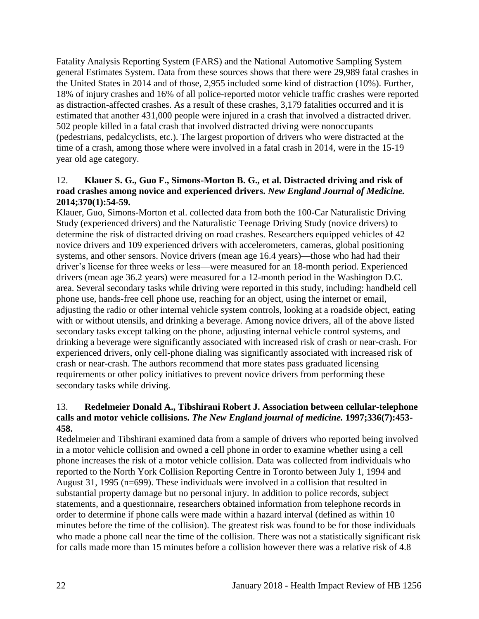Fatality Analysis Reporting System (FARS) and the National Automotive Sampling System general Estimates System. Data from these sources shows that there were 29,989 fatal crashes in the United States in 2014 and of those, 2,955 included some kind of distraction (10%). Further, 18% of injury crashes and 16% of all police-reported motor vehicle traffic crashes were reported as distraction-affected crashes. As a result of these crashes, 3,179 fatalities occurred and it is estimated that another 431,000 people were injured in a crash that involved a distracted driver. 502 people killed in a fatal crash that involved distracted driving were nonoccupants (pedestrians, pedalcyclists, etc.). The largest proportion of drivers who were distracted at the time of a crash, among those where were involved in a fatal crash in 2014, were in the 15-19 year old age category.

## <span id="page-24-0"></span>12. **Klauer S. G., Guo F., Simons-Morton B. G., et al. Distracted driving and risk of road crashes among novice and experienced drivers.** *New England Journal of Medicine.*  **2014;370(1):54-59.**

Klauer, Guo, Simons-Morton et al. collected data from both the 100-Car Naturalistic Driving Study (experienced drivers) and the Naturalistic Teenage Driving Study (novice drivers) to determine the risk of distracted driving on road crashes. Researchers equipped vehicles of 42 novice drivers and 109 experienced drivers with accelerometers, cameras, global positioning systems, and other sensors. Novice drivers (mean age 16.4 years)—those who had had their driver's license for three weeks or less—were measured for an 18-month period. Experienced drivers (mean age 36.2 years) were measured for a 12-month period in the Washington D.C. area. Several secondary tasks while driving were reported in this study, including: handheld cell phone use, hands-free cell phone use, reaching for an object, using the internet or email, adjusting the radio or other internal vehicle system controls, looking at a roadside object, eating with or without utensils, and drinking a beverage. Among novice drivers, all of the above listed secondary tasks except talking on the phone, adjusting internal vehicle control systems, and drinking a beverage were significantly associated with increased risk of crash or near-crash. For experienced drivers, only cell-phone dialing was significantly associated with increased risk of crash or near-crash. The authors recommend that more states pass graduated licensing requirements or other policy initiatives to prevent novice drivers from performing these secondary tasks while driving.

## 13. **Redelmeier Donald A., Tibshirani Robert J. Association between cellular-telephone calls and motor vehicle collisions.** *The New England journal of medicine.* **1997;336(7):453- 458.**

Redelmeier and Tibshirani examined data from a sample of drivers who reported being involved in a motor vehicle collision and owned a cell phone in order to examine whether using a cell phone increases the risk of a motor vehicle collision. Data was collected from individuals who reported to the North York Collision Reporting Centre in Toronto between July 1, 1994 and August 31, 1995 (n=699). These individuals were involved in a collision that resulted in substantial property damage but no personal injury. In addition to police records, subject statements, and a questionnaire, researchers obtained information from telephone records in order to determine if phone calls were made within a hazard interval (defined as within 10 minutes before the time of the collision). The greatest risk was found to be for those individuals who made a phone call near the time of the collision. There was not a statistically significant risk for calls made more than 15 minutes before a collision however there was a relative risk of 4.8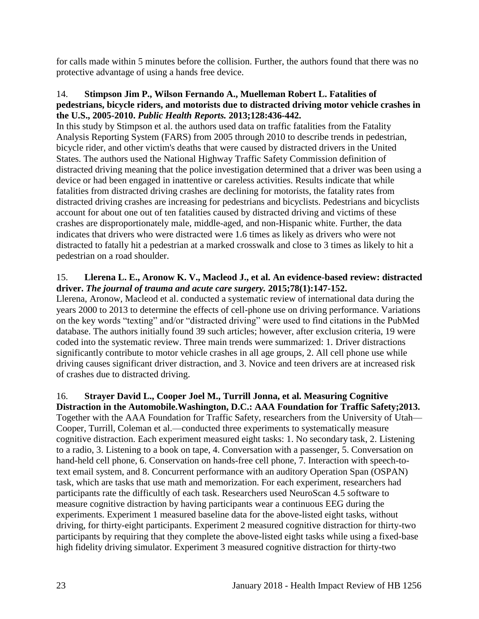for calls made within 5 minutes before the collision. Further, the authors found that there was no protective advantage of using a hands free device.

#### 14. **Stimpson Jim P., Wilson Fernando A., Muelleman Robert L. Fatalities of pedestrians, bicycle riders, and motorists due to distracted driving motor vehicle crashes in the U.S., 2005-2010.** *Public Health Reports.* **2013;128:436-442.**

In this study by Stimpson et al. the authors used data on traffic fatalities from the Fatality Analysis Reporting System (FARS) from 2005 through 2010 to describe trends in pedestrian, bicycle rider, and other victim's deaths that were caused by distracted drivers in the United States. The authors used the National Highway Traffic Safety Commission definition of distracted driving meaning that the police investigation determined that a driver was been using a device or had been engaged in inattentive or careless activities. Results indicate that while fatalities from distracted driving crashes are declining for motorists, the fatality rates from distracted driving crashes are increasing for pedestrians and bicyclists. Pedestrians and bicyclists account for about one out of ten fatalities caused by distracted driving and victims of these crashes are disproportionately male, middle-aged, and non-Hispanic white. Further, the data indicates that drivers who were distracted were 1.6 times as likely as drivers who were not distracted to fatally hit a pedestrian at a marked crosswalk and close to 3 times as likely to hit a pedestrian on a road shoulder.

## <span id="page-25-0"></span>15. **Llerena L. E., Aronow K. V., Macleod J., et al. An evidence-based review: distracted driver.** *The journal of trauma and acute care surgery.* **2015;78(1):147-152.**

Llerena, Aronow, Macleod et al. conducted a systematic review of international data during the years 2000 to 2013 to determine the effects of cell-phone use on driving performance. Variations on the key words "texting" and/or "distracted driving" were used to find citations in the PubMed database. The authors initially found 39 such articles; however, after exclusion criteria, 19 were coded into the systematic review. Three main trends were summarized: 1. Driver distractions significantly contribute to motor vehicle crashes in all age groups, 2. All cell phone use while driving causes significant driver distraction, and 3. Novice and teen drivers are at increased risk of crashes due to distracted driving.

#### <span id="page-25-1"></span>16. **Strayer David L., Cooper Joel M., Turrill Jonna, et al. Measuring Cognitive Distraction in the Automobile.Washington, D.C.: AAA Foundation for Traffic Safety;2013.**

Together with the AAA Foundation for Traffic Safety, researchers from the University of Utah— Cooper, Turrill, Coleman et al.—conducted three experiments to systematically measure cognitive distraction. Each experiment measured eight tasks: 1. No secondary task, 2. Listening to a radio, 3. Listening to a book on tape, 4. Conversation with a passenger, 5. Conversation on hand-held cell phone, 6. Conservation on hands-free cell phone, 7. Interaction with speech-totext email system, and 8. Concurrent performance with an auditory Operation Span (OSPAN) task, which are tasks that use math and memorization. For each experiment, researchers had participants rate the difficultly of each task. Researchers used NeuroScan 4.5 software to measure cognitive distraction by having participants wear a continuous EEG during the experiments. Experiment 1 measured baseline data for the above-listed eight tasks, without driving, for thirty-eight participants. Experiment 2 measured cognitive distraction for thirty-two participants by requiring that they complete the above-listed eight tasks while using a fixed-base high fidelity driving simulator. Experiment 3 measured cognitive distraction for thirty-two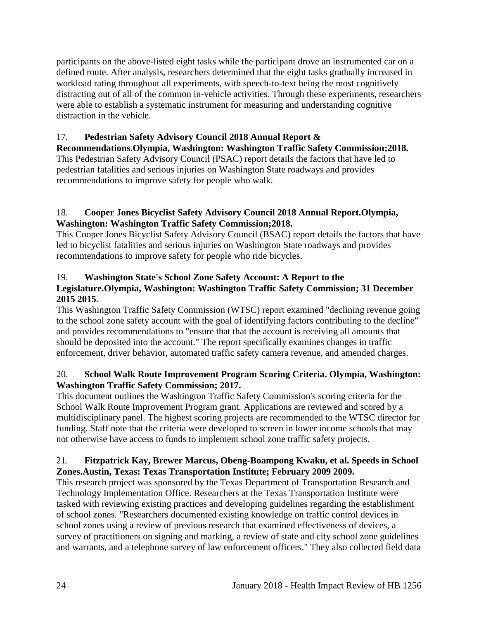participants on the above-listed eight tasks while the participant drove an instrumented car on a defined route. After analysis, researchers determined that the eight tasks gradually increased in workload rating throughout all experiments, with speech-to-text being the most cognitively distracting out of all of the common in-vehicle activities. Through these experiments, researchers were able to establish a systematic instrument for measuring and understanding cognitive distraction in the vehicle.

# <span id="page-26-0"></span>17. **Pedestrian Safety Advisory Council 2018 Annual Report &**

**Recommendations.Olympia, Washington: Washington Traffic Safety Commission;2018.** This Pedestrian Safety Advisory Council (PSAC) report details the factors that have led to pedestrian fatalities and serious injuries on Washington State roadways and provides recommendations to improve safety for people who walk.

# <span id="page-26-4"></span>18. **Cooper Jones Bicyclist Safety Advisory Council 2018 Annual Report.Olympia, Washington: Washington Traffic Safety Commission;2018.**

This Cooper Jones Bicyclist Safety Advisory Council (BSAC) report details the factors that have led to bicyclist fatalities and serious injuries on Washington State roadways and provides recommendations to improve safety for people who ride bicycles.

# <span id="page-26-1"></span>19. **Washington State's School Zone Safety Account: A Report to the Legislature.Olympia, Washington: Washington Traffic Safety Commission; 31 December 2015 2015.**

This Washington Traffic Safety Commission (WTSC) report examined "declining revenue going to the school zone safety account with the goal of identifying factors contributing to the decline" and provides recommendations to "ensure that that the account is receiving all amounts that should be deposited into the account." The report specifically examines changes in traffic enforcement, driver behavior, automated traffic safety camera revenue, and amended charges.

# <span id="page-26-2"></span>20. **School Walk Route Improvement Program Scoring Criteria. Olympia, Washington: Washington Traffic Safety Commission; 2017.**

This document outlines the Washington Traffic Safety Commission's scoring criteria for the School Walk Route Improvement Program grant. Applications are reviewed and scored by a multidisciplinary panel. The highest scoring projects are recommended to the WTSC director for funding. Staff note that the criteria were developed to screen in lower income schools that may not otherwise have access to funds to implement school zone traffic safety projects.

# <span id="page-26-3"></span>21. **Fitzpatrick Kay, Brewer Marcus, Obeng-Boampong Kwaku, et al. Speeds in School Zones.Austin, Texas: Texas Transportation Institute; February 2009 2009.**

This research project was sponsored by the Texas Department of Transportation Research and Technology Implementation Office. Researchers at the Texas Transportation Institute were tasked with reviewing existing practices and developing guidelines regarding the establishment of school zones. "Researchers documented existing knowledge on traffic control devices in school zones using a review of previous research that examined effectiveness of devices, a survey of practitioners on signing and marking, a review of state and city school zone guidelines and warrants, and a telephone survey of law enforcement officers." They also collected field data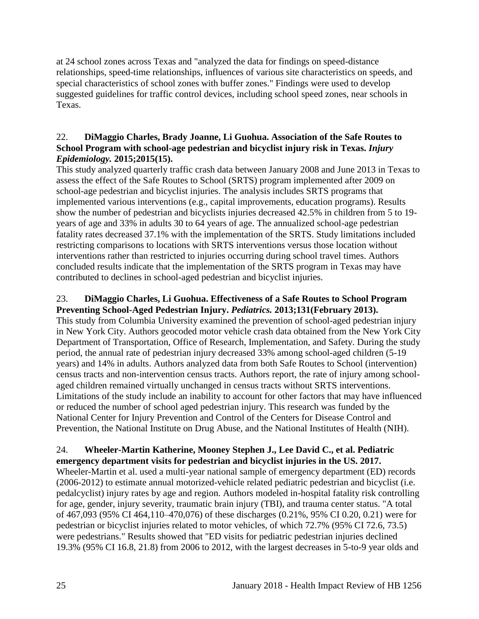at 24 school zones across Texas and "analyzed the data for findings on speed-distance relationships, speed-time relationships, influences of various site characteristics on speeds, and special characteristics of school zones with buffer zones." Findings were used to develop suggested guidelines for traffic control devices, including school speed zones, near schools in Texas.

## <span id="page-27-0"></span>22. **DiMaggio Charles, Brady Joanne, Li Guohua. Association of the Safe Routes to School Program with school-age pedestrian and bicyclist injury risk in Texas.** *Injury Epidemiology.* **2015;2015(15).**

This study analyzed quarterly traffic crash data between January 2008 and June 2013 in Texas to assess the effect of the Safe Routes to School (SRTS) program implemented after 2009 on school-age pedestrian and bicyclist injuries. The analysis includes SRTS programs that implemented various interventions (e.g., capital improvements, education programs). Results show the number of pedestrian and bicyclists injuries decreased 42.5% in children from 5 to 19 years of age and 33% in adults 30 to 64 years of age. The annualized school-age pedestrian fatality rates decreased 37.1% with the implementation of the SRTS. Study limitations included restricting comparisons to locations with SRTS interventions versus those location without interventions rather than restricted to injuries occurring during school travel times. Authors concluded results indicate that the implementation of the SRTS program in Texas may have contributed to declines in school-aged pedestrian and bicyclist injuries.

## 23. **DiMaggio Charles, Li Guohua. Effectiveness of a Safe Routes to School Program Preventing School-Aged Pedestrian Injury.** *Pediatrics.* **2013;131(February 2013).**

This study from Columbia University examined the prevention of school-aged pedestrian injury in New York City. Authors geocoded motor vehicle crash data obtained from the New York City Department of Transportation, Office of Research, Implementation, and Safety. During the study period, the annual rate of pedestrian injury decreased 33% among school-aged children (5-19 years) and 14% in adults. Authors analyzed data from both Safe Routes to School (intervention) census tracts and non-intervention census tracts. Authors report, the rate of injury among schoolaged children remained virtually unchanged in census tracts without SRTS interventions. Limitations of the study include an inability to account for other factors that may have influenced or reduced the number of school aged pedestrian injury. This research was funded by the National Center for Injury Prevention and Control of the Centers for Disease Control and Prevention, the National Institute on Drug Abuse, and the National Institutes of Health (NIH).

### <span id="page-27-1"></span>24. **Wheeler-Martin Katherine, Mooney Stephen J., Lee David C., et al. Pediatric emergency department visits for pedestrian and bicyclist injuries in the US. 2017.**

Wheeler-Martin et al. used a multi-year national sample of emergency department (ED) records (2006-2012) to estimate annual motorized-vehicle related pediatric pedestrian and bicyclist (i.e. pedalcyclist) injury rates by age and region. Authors modeled in-hospital fatality risk controlling for age, gender, injury severity, traumatic brain injury (TBI), and trauma center status. "A total of 467,093 (95% CI 464,110–470,076) of these discharges (0.21%, 95% CI 0.20, 0.21) were for pedestrian or bicyclist injuries related to motor vehicles, of which 72.7% (95% CI 72.6, 73.5) were pedestrians." Results showed that "ED visits for pediatric pedestrian injuries declined 19.3% (95% CI 16.8, 21.8) from 2006 to 2012, with the largest decreases in 5-to-9 year olds and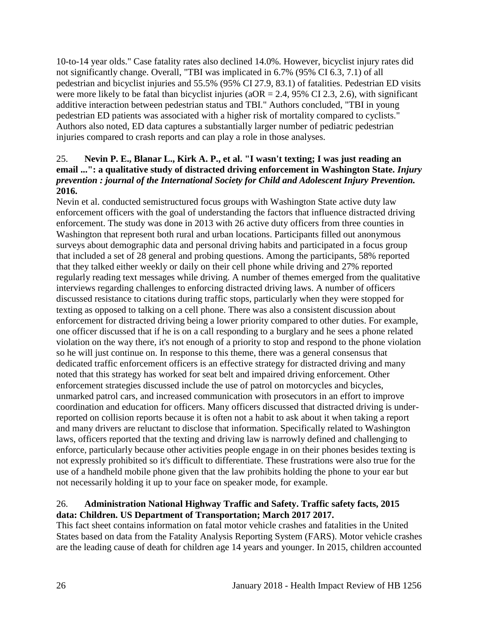10-to-14 year olds." Case fatality rates also declined 14.0%. However, bicyclist injury rates did not significantly change. Overall, "TBI was implicated in 6.7% (95% CI 6.3, 7.1) of all pedestrian and bicyclist injuries and 55.5% (95% CI 27.9, 83.1) of fatalities. Pedestrian ED visits were more likely to be fatal than bicyclist injuries ( $aOR = 2.4$ , 95% CI 2.3, 2.6), with significant additive interaction between pedestrian status and TBI." Authors concluded, "TBI in young pedestrian ED patients was associated with a higher risk of mortality compared to cyclists." Authors also noted, ED data captures a substantially larger number of pediatric pedestrian injuries compared to crash reports and can play a role in those analyses.

## 25. **Nevin P. E., Blanar L., Kirk A. P., et al. "I wasn't texting; I was just reading an email ...": a qualitative study of distracted driving enforcement in Washington State.** *Injury prevention : journal of the International Society for Child and Adolescent Injury Prevention.*  **2016.**

Nevin et al. conducted semistructured focus groups with Washington State active duty law enforcement officers with the goal of understanding the factors that influence distracted driving enforcement. The study was done in 2013 with 26 active duty officers from three counties in Washington that represent both rural and urban locations. Participants filled out anonymous surveys about demographic data and personal driving habits and participated in a focus group that included a set of 28 general and probing questions. Among the participants, 58% reported that they talked either weekly or daily on their cell phone while driving and 27% reported regularly reading text messages while driving. A number of themes emerged from the qualitative interviews regarding challenges to enforcing distracted driving laws. A number of officers discussed resistance to citations during traffic stops, particularly when they were stopped for texting as opposed to talking on a cell phone. There was also a consistent discussion about enforcement for distracted driving being a lower priority compared to other duties. For example, one officer discussed that if he is on a call responding to a burglary and he sees a phone related violation on the way there, it's not enough of a priority to stop and respond to the phone violation so he will just continue on. In response to this theme, there was a general consensus that dedicated traffic enforcement officers is an effective strategy for distracted driving and many noted that this strategy has worked for seat belt and impaired driving enforcement. Other enforcement strategies discussed include the use of patrol on motorcycles and bicycles, unmarked patrol cars, and increased communication with prosecutors in an effort to improve coordination and education for officers. Many officers discussed that distracted driving is underreported on collision reports because it is often not a habit to ask about it when taking a report and many drivers are reluctant to disclose that information. Specifically related to Washington laws, officers reported that the texting and driving law is narrowly defined and challenging to enforce, particularly because other activities people engage in on their phones besides texting is not expressly prohibited so it's difficult to differentiate. These frustrations were also true for the use of a handheld mobile phone given that the law prohibits holding the phone to your ear but not necessarily holding it up to your face on speaker mode, for example.

# <span id="page-28-0"></span>26. **Administration National Highway Traffic and Safety. Traffic safety facts, 2015 data: Children. US Department of Transportation; March 2017 2017.**

This fact sheet contains information on fatal motor vehicle crashes and fatalities in the United States based on data from the Fatality Analysis Reporting System (FARS). Motor vehicle crashes are the leading cause of death for children age 14 years and younger. In 2015, children accounted